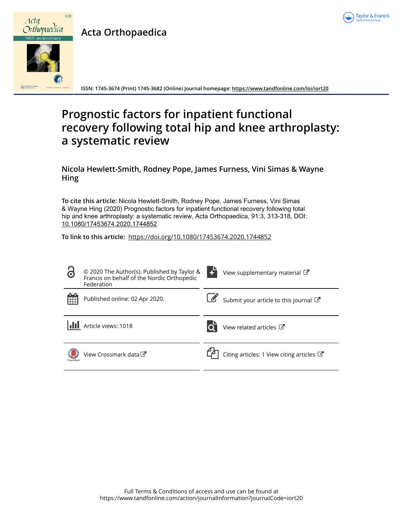

**Acta Orthopaedica**



**ISSN: 1745-3674 (Print) 1745-3682 (Online) Journal homepage:<https://www.tandfonline.com/loi/iort20>**

# **Prognostic factors for inpatient functional recovery following total hip and knee arthroplasty: a systematic review**

**Nicola Hewlett-Smith, Rodney Pope, James Furness, Vini Simas & Wayne Hing**

**To cite this article:** Nicola Hewlett-Smith, Rodney Pope, James Furness, Vini Simas & Wayne Hing (2020) Prognostic factors for inpatient functional recovery following total hip and knee arthroplasty: a systematic review, Acta Orthopaedica, 91:3, 313-318, DOI: [10.1080/17453674.2020.1744852](https://www.tandfonline.com/action/showCitFormats?doi=10.1080/17453674.2020.1744852)

**To link to this article:** <https://doi.org/10.1080/17453674.2020.1744852>

| $\bullet$ | © 2020 The Author(s). Published by Taylor &<br>Francis on behalf of the Nordic Orthopedic<br>Federation | View supplementary material $\mathbb{Z}$  |
|-----------|---------------------------------------------------------------------------------------------------------|-------------------------------------------|
| 翢         | Published online: 02 Apr 2020.                                                                          | Submit your article to this journal       |
|           | Article views: 1018                                                                                     | View related articles C                   |
| CrossMark | View Crossmark data C                                                                                   | Citing articles: 1 View citing articles C |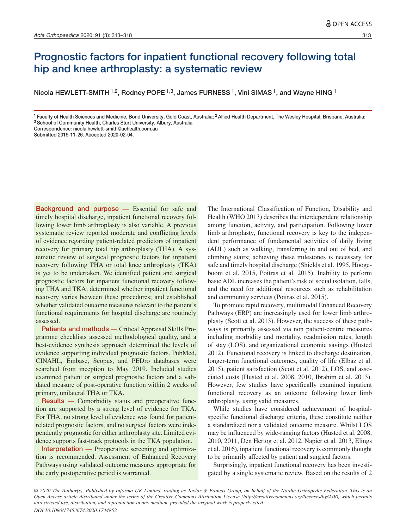# Prognostic factors for inpatient functional recovery following total hip and knee arthroplasty: a systematic review

Nicola HEWLETT-SMITH <sup>1,2</sup>, Rodney POPE <sup>1,3</sup>, James FURNESS <sup>1</sup>, Vini SIMAS <sup>1</sup>, and Wayne HING <sup>1</sup>

<sup>1</sup> Faculty of Health Sciences and Medicine, Bond University, Gold Coast, Australia; <sup>2</sup> Allied Health Department, The Wesley Hospital, Brisbane, Australia;<br><sup>3</sup> School of Community Health, Charles Sturt University, Albury,

Correspondence: nicola.hewlett-smith@uchealth.com.au

Submitted 2019-11-26. Accepted 2020-02-04.

Background and purpose — Essential for safe and timely hospital discharge, inpatient functional recovery following lower limb arthroplasty is also variable. A previous systematic review reported moderate and conflicting levels of evidence regarding patient-related predictors of inpatient recovery for primary total hip arthroplasty (THA). A systematic review of surgical prognostic factors for inpatient recovery following THA or total knee arthroplasty (TKA) is yet to be undertaken. We identified patient and surgical prognostic factors for inpatient functional recovery following THA and TKA; determined whether inpatient functional recovery varies between these procedures; and established whether validated outcome measures relevant to the patient's functional requirements for hospital discharge are routinely assessed.

Patients and methods — Critical Appraisal Skills Programme checklists assessed methodological quality, and a best-evidence synthesis approach determined the levels of evidence supporting individual prognostic factors. PubMed, CINAHL, Embase, Scopus, and PEDro databases were searched from inception to May 2019. Included studies examined patient or surgical prognostic factors and a validated measure of post-operative function within 2 weeks of primary, unilateral THA or TKA.

Results — Comorbidity status and preoperative function are supported by a strong level of evidence for TKA. For THA, no strong level of evidence was found for patientrelated prognostic factors, and no surgical factors were independently prognostic for either arthroplasty site. Limited evidence supports fast-track protocols in the TKA population.

Interpretation — Preoperative screening and optimization is recommended. Assessment of Enhanced Recovery Pathways using validated outcome measures appropriate for the early postoperative period is warranted.

The International Classification of Function, Disability and Health (WHO 2013) describes the interdependent relationship among function, activity, and participation. Following lower limb arthroplasty, functional recovery is key to the independent performance of fundamental activities of daily living (ADL) such as walking, transferring in and out of bed, and climbing stairs; achieving these milestones is necessary for safe and timely hospital discharge (Shields et al. 1995, Hoogeboom et al. 2015, Poitras et al. 2015). Inability to perform basic ADL increases the patient's risk of social isolation, falls, and the need for additional resources such as rehabilitation and community services (Poitras et al. 2015).

To promote rapid recovery, multimodal Enhanced Recovery Pathways (ERP) are increasingly used for lower limb arthroplasty (Scott et al. 2013). However, the success of these pathways is primarily assessed via non patient-centric measures including morbidity and mortality, readmission rates, length of stay (LOS), and organizational economic savings (Husted 2012). Functional recovery is linked to discharge destination, longer-term functional outcomes, quality of life (Elbaz et al. 2015), patient satisfaction (Scott et al. 2012), LOS, and associated costs (Husted et al. 2008, 2010, Ibrahim et al. 2013). However, few studies have specifically examined inpatient functional recovery as an outcome following lower limb arthroplasty, using valid measures.

While studies have considered achievement of hospitalspecific functional discharge criteria, these constitute neither a standardized nor a validated outcome measure. Whilst LOS may be influenced by wide-ranging factors (Husted et al. 2008, 2010, 2011, Den Hertog et al. 2012, Napier et al. 2013, Elings et al. 2016), inpatient functional recovery is commonly thought to be primarily affected by patient and surgical factors.

Surprisingly, inpatient functional recovery has been investigated by a single systematic review. Based on the results of 2

*© 2020 The Author(s). Published by Informa UK Limited, trading as Taylor & Francis Group, on behalf of the Nordic Orthopedic Federation. This is an Open Access article distributed under the terms of the Creative Commons Attribution License (http://creativecommons.org/licenses/by/4.0/), which permits unrestricted use, distribution, and reproduction in any medium, provided the original work is properly cited. DOI 10.1080/17453674.2020.1744852*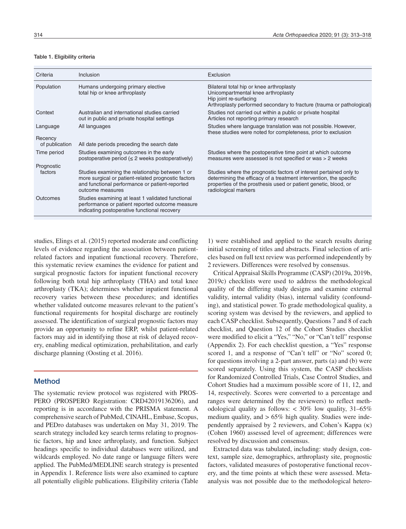|  |  | Table 1. Eligibility criteria |  |
|--|--|-------------------------------|--|
|--|--|-------------------------------|--|

| Criteria                  | Inclusion                                                                                                                                                                    | Exclusion                                                                                                                                                                                                                           |
|---------------------------|------------------------------------------------------------------------------------------------------------------------------------------------------------------------------|-------------------------------------------------------------------------------------------------------------------------------------------------------------------------------------------------------------------------------------|
| Population                | Humans undergoing primary elective<br>total hip or knee arthroplasty                                                                                                         | Bilateral total hip or knee arthroplasty<br>Unicompartmental knee arthroplasty<br>Hip joint re-surfacing<br>Arthroplasty performed secondary to fracture (trauma or pathological)                                                   |
| Context                   | Australian and international studies carried<br>out in public and private hospital settings                                                                                  | Studies not carried out within a public or private hospital<br>Articles not reporting primary research                                                                                                                              |
| Language                  | All languages                                                                                                                                                                | Studies where language translation was not possible. However,<br>these studies were noted for completeness, prior to exclusion                                                                                                      |
| Recency<br>of publication | All date periods preceding the search date                                                                                                                                   |                                                                                                                                                                                                                                     |
| Time period               | Studies examining outcomes in the early<br>postoperative period ( $\leq$ 2 weeks postoperatively)                                                                            | Studies where the postoperative time point at which outcome<br>measures were assessed is not specified or was > 2 weeks                                                                                                             |
| Prognostic                |                                                                                                                                                                              |                                                                                                                                                                                                                                     |
| factors                   | Studies examining the relationship between 1 or<br>more surgical or patient-related prognostic factors<br>and functional performance or patient-reported<br>outcome measures | Studies where the prognostic factors of interest pertained only to<br>determining the efficacy of a treatment intervention, the specific<br>properties of the prosthesis used or patient genetic, blood, or<br>radiological markers |
| Outcomes                  | Studies examining at least 1 validated functional<br>performance or patient reported outcome measure<br>indicating postoperative functional recovery                         |                                                                                                                                                                                                                                     |

studies, Elings et al. (2015) reported moderate and conflicting levels of evidence regarding the association between patientrelated factors and inpatient functional recovery. Therefore, this systematic review examines the evidence for patient and surgical prognostic factors for inpatient functional recovery following both total hip arthroplasty (THA) and total knee arthroplasty (TKA); determines whether inpatient functional recovery varies between these procedures; and identifies whether validated outcome measures relevant to the patient's functional requirements for hospital discharge are routinely assessed. The identification of surgical prognostic factors may provide an opportunity to refine ERP, whilst patient-related factors may aid in identifying those at risk of delayed recovery, enabling medical optimization, prehabilitation, and early discharge planning (Oosting et al. 2016).

## Method

The systematic review protocol was registered with PROS-PERO (PROSPERO Registration: CRD42019136206), and reporting is in accordance with the PRISMA statement. A comprehensive search of PubMed, CINAHL, Embase, Scopus, and PEDro databases was undertaken on May 31, 2019. The search strategy included key search terms relating to prognostic factors, hip and knee arthroplasty, and function. Subject headings specific to individual databases were utilized, and wildcards employed. No date range or language filters were applied. The PubMed/MEDLINE search strategy is presented in Appendix 1. Reference lists were also examined to capture all potentially eligible publications. Eligibility criteria (Table

1) were established and applied to the search results during initial screening of titles and abstracts. Final selection of articles based on full text review was performed independently by 2 reviewers. Differences were resolved by consensus.

Critical Appraisal Skills Programme (CASP) (2019a, 2019b, 2019c) checklists were used to address the methodological quality of the differing study designs and examine external validity, internal validity (bias), internal validity (confounding), and statistical power. To grade methodological quality, a scoring system was devised by the reviewers, and applied to each CASP checklist. Subsequently, Questions 7 and 8 of each checklist, and Question 12 of the Cohort Studies checklist were modified to elicit a "Yes," "No," or "Can't tell" response (Appendix 2). For each checklist question, a "Yes" response scored 1, and a response of "Can't tell" or "No" scored 0; for questions involving a 2-part answer, parts (a) and (b) were scored separately. Using this system, the CASP checklists for Randomized Controlled Trials, Case Control Studies, and Cohort Studies had a maximum possible score of 11, 12, and 14, respectively. Scores were converted to a percentage and ranges were determined (by the reviewers) to reflect methodological quality as follows: < 30% low quality, 31–65% medium quality, and  $> 65\%$  high quality. Studies were independently appraised by 2 reviewers, and Cohen's Kappa (κ) (Cohen 1960) assessed level of agreement; differences were resolved by discussion and consensus.

Extracted data was tabulated, including: study design, context, sample size, demographics, arthroplasty site, prognostic factors, validated measures of postoperative functional recovery, and the time points at which these were assessed. Metaanalysis was not possible due to the methodological hetero-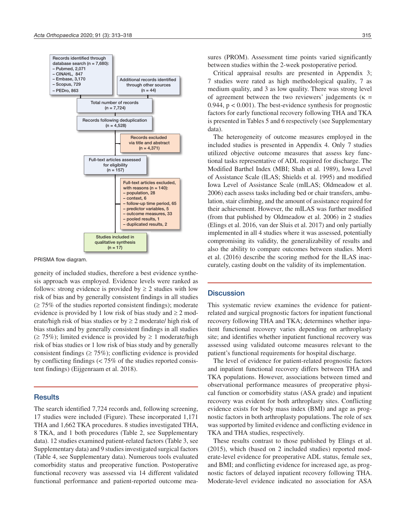

PRISMA flow diagram.

geneity of included studies, therefore a best evidence synthesis approach was employed. Evidence levels were ranked as follows: strong evidence is provided by  $\geq 2$  studies with low risk of bias and by generally consistent findings in all studies  $\geq 75\%$  of the studies reported consistent findings); moderate evidence is provided by 1 low risk of bias study and  $\geq 2$  moderate/high risk of bias studies or by  $\geq 2$  moderate/high risk of bias studies and by generally consistent findings in all studies  $(\geq 75\%)$ ; limited evidence is provided by  $\geq 1$  moderate/high risk of bias studies or 1 low risk of bias study and by generally consistent findings  $(≥ 75\%)$ ; conflicting evidence is provided by conflicting findings (< 75% of the studies reported consistent findings) (Eijgenraam et al. 2018).

### **Results**

The search identified 7,724 records and, following screening, 17 studies were included (Figure). These incorporated 1,171 THA and 1,662 TKA procedures. 8 studies investigated THA, 8 TKA, and 1 both procedures (Table 2, see Supplementary data). 12 studies examined patient-related factors (Table 3, see Supplementary data) and 9 studies investigated surgical factors (Table 4, see Supplementary data). Numerous tools evaluated comorbidity status and preoperative function. Postoperative functional recovery was assessed via 14 different validated functional performance and patient-reported outcome measures (PROM). Assessment time points varied significantly between studies within the 2-week postoperative period.

Critical appraisal results are presented in Appendix 3; 7 studies were rated as high methodological quality, 7 as medium quality, and 3 as low quality. There was strong level of agreement between the two reviewers' judgements ( $\kappa$  = 0.944, p < 0.001). The best-evidence synthesis for prognostic factors for early functional recovery following THA and TKA is presented in Tables 5 and 6 respectively (see Supplementary data).

The heterogeneity of outcome measures employed in the included studies is presented in Appendix 4. Only 7 studies utilized objective outcome measures that assess key functional tasks representative of ADL required for discharge. The Modified Barthel Index (MBI; Shah et al. 1989), Iowa Level of Assistance Scale (ILAS; Shields et al. 1995) and modified Iowa Level of Assistance Scale (mILAS; Oldmeadow et al. 2006) each assess tasks including bed or chair transfers, ambulation, stair climbing, and the amount of assistance required for their achievement. However, the mILAS was further modified (from that published by Oldmeadow et al. 2006) in 2 studies (Elings et al. 2016, van der Sluis et al. 2017) and only partially implemented in all 4 studies where it was assessed, potentially compromising its validity, the generalizability of results and also the ability to compare outcomes between studies. Morri et al. (2016) describe the scoring method for the ILAS inaccurately, casting doubt on the validity of its implementation.

#### **Discussion**

This systematic review examines the evidence for patientrelated and surgical prognostic factors for inpatient functional recovery following THA and TKA; determines whether inpatient functional recovery varies depending on arthroplasty site; and identifies whether inpatient functional recovery was assessed using validated outcome measures relevant to the patient's functional requirements for hospital discharge.

The level of evidence for patient-related prognostic factors and inpatient functional recovery differs between THA and TKA populations. However, associations between timed and observational performance measures of preoperative physical function or comorbidity status (ASA grade) and inpatient recovery was evident for both arthroplasty sites. Conflicting evidence exists for body mass index (BMI) and age as prognostic factors in both arthroplasty populations. The role of sex was supported by limited evidence and conflicting evidence in TKA and THA studies, respectively.

These results contrast to those published by Elings et al. (2015), which (based on 2 included studies) reported moderate-level evidence for preoperative ADL status, female sex, and BMI; and conflicting evidence for increased age, as prognostic factors of delayed inpatient recovery following THA. Moderate-level evidence indicated no association for ASA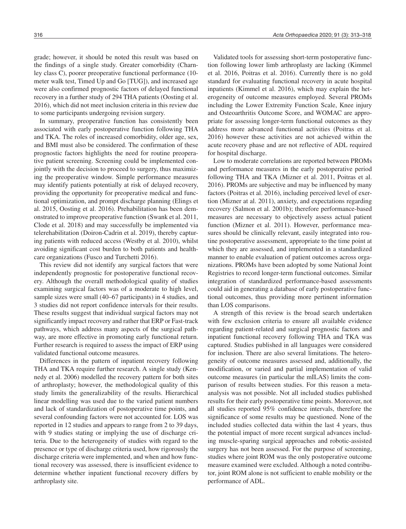grade; however, it should be noted this result was based on the findings of a single study. Greater comorbidity (Charnley class C), poorer preoperative functional performance (10 meter walk test, Timed Up and Go [TUG]), and increased age were also confirmed prognostic factors of delayed functional recovery in a further study of 294 THA patients (Oosting et al. 2016), which did not meet inclusion criteria in this review due to some participants undergoing revision surgery.

In summary, preoperative function has consistently been associated with early postoperative function following THA and TKA. The roles of increased comorbidity, older age, sex, and BMI must also be considered. The confirmation of these prognostic factors highlights the need for routine preoperative patient screening. Screening could be implemented conjointly with the decision to proceed to surgery, thus maximizing the preoperative window. Simple performance measures may identify patients potentially at risk of delayed recovery, providing the opportunity for preoperative medical and functional optimization, and prompt discharge planning (Elings et al. 2015, Oosting et al. 2016). Prehabilitation has been demonstrated to improve preoperative function (Swank et al. 2011, Clode et al. 2018) and may successfully be implemented via telerehabilitation (Doiron-Cadrin et al. 2019), thereby capturing patients with reduced access (Westby et al. 2010), whilst avoiding significant cost burden to both patients and healthcare organizations (Fusco and Turchetti 2016).

This review did not identify any surgical factors that were independently prognostic for postoperative functional recovery. Although the overall methodological quality of studies examining surgical factors was of a moderate to high level, sample sizes were small (40–67 participants) in 4 studies, and 3 studies did not report confidence intervals for their results. These results suggest that individual surgical factors may not significantly impact recovery and rather that ERP or Fast-track pathways, which address many aspects of the surgical pathway, are more effective in promoting early functional return. Further research is required to assess the impact of ERP using validated functional outcome measures.

Differences in the pattern of inpatient recovery following THA and TKA require further research. A single study (Kennedy et al. 2006) modelled the recovery pattern for both sites of arthroplasty; however, the methodological quality of this study limits the generalizability of the results. Hierarchical linear modelling was used due to the varied patient numbers and lack of standardization of postoperative time points, and several confounding factors were not accounted for. LOS was reported in 12 studies and appears to range from 2 to 39 days, with 9 studies stating or implying the use of discharge criteria. Due to the heterogeneity of studies with regard to the presence or type of discharge criteria used, how rigorously the discharge criteria were implemented, and when and how functional recovery was assessed, there is insufficient evidence to determine whether inpatient functional recovery differs by arthroplasty site.

Validated tools for assessing short-term postoperative function following lower limb arthroplasty are lacking (Kimmel et al. 2016, Poitras et al. 2016). Currently there is no gold standard for evaluating functional recovery in acute hospital inpatients (Kimmel et al. 2016), which may explain the heterogeneity of outcome measures employed. Several PROMs including the Lower Extremity Function Scale, Knee injury and Osteoarthritis Outcome Score, and WOMAC are appropriate for assessing longer-term functional outcomes as they address more advanced functional activities (Poitras et al. 2016) however these activities are not achieved within the acute recovery phase and are not reflective of ADL required for hospital discharge.

Low to moderate correlations are reported between PROMs and performance measures in the early postoperative period following THA and TKA (Mizner et al. 2011, Poitras et al. 2016). PROMs are subjective and may be influenced by many factors (Poitras et al. 2016), including perceived level of exertion (Mizner at al. 2011), anxiety, and expectations regarding recovery (Salmon et al. 2001b); therefore performance-based measures are necessary to objectively assess actual patient function (Mizner et al. 2011). However, performance measures should be clinically relevant, easily integrated into routine postoperative assessment, appropriate to the time point at which they are assessed, and implemented in a standardized manner to enable evaluation of patient outcomes across organizations. PROMs have been adopted by some National Joint Registries to record longer-term functional outcomes. Similar integration of standardized performance-based assessments could aid in generating a database of early postoperative functional outcomes, thus providing more pertinent information than LOS comparisons.

A strength of this review is the broad search undertaken with few exclusion criteria to ensure all available evidence regarding patient-related and surgical prognostic factors and inpatient functional recovery following THA and TKA was captured. Studies published in all languages were considered for inclusion. There are also several limitations. The heterogeneity of outcome measures assessed and, additionally, the modification, or varied and partial implementation of valid outcome measures (in particular the mILAS) limits the comparison of results between studies. For this reason a metaanalysis was not possible. Not all included studies published results for their early postoperative time points. Moreover, not all studies reported 95% confidence intervals, therefore the significance of some results may be questioned. None of the included studies collected data within the last 4 years, thus the potential impact of more recent surgical advances including muscle-sparing surgical approaches and robotic-assisted surgery has not been assessed. For the purpose of screening, studies where joint ROM was the only postoperative outcome measure examined were excluded. Although a noted contributor, joint ROM alone is not sufficient to enable mobility or the performance of ADL.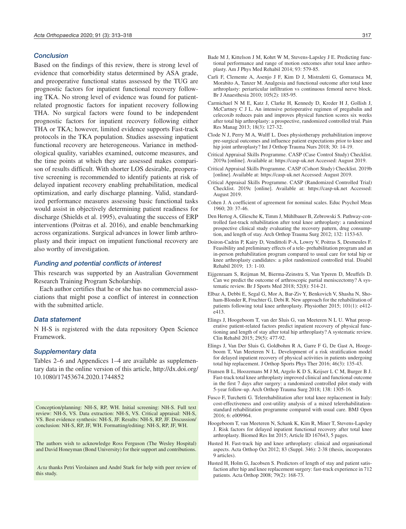#### *Conclusion*

Based on the findings of this review, there is strong level of evidence that comorbidity status determined by ASA grade, and preoperative functional status assessed by the TUG are prognostic factors for inpatient functional recovery following TKA. No strong level of evidence was found for patientrelated prognostic factors for inpatient recovery following THA. No surgical factors were found to be independent prognostic factors for inpatient recovery following either THA or TKA; however, limited evidence supports Fast-track protocols in the TKA population. Studies assessing inpatient functional recovery are heterogeneous. Variance in methodological quality, variables examined, outcome measures, and the time points at which they are assessed makes comparison of results difficult. With shorter LOS desirable, preoperative screening is recommended to identify patients at risk of delayed inpatient recovery enabling prehabilitation, medical optimization, and early discharge planning. Valid, standardized performance measures assessing basic functional tasks would assist in objectively determining patient readiness for discharge (Shields et al. 1995), evaluating the success of ERP interventions (Poitras et al. 2016), and enable benchmarking across organizations. Surgical advances in lower limb arthroplasty and their impact on impatient functional recovery are also worthy of investigation.

#### *Funding and potential conflicts of interest*

This research was supported by an Australian Government Research Training Program Scholarship.

Each author certifies that he or she has no commercial associations that might pose a conflict of interest in connection with the submitted article.

#### *Data statement*

N H-S is registered with the data repository Open Science Framework.

#### *Supplementary data*

Tables 2–6 and Appendices 1–4 are available as supplementary data in the online version of this article, http://dx.doi.org/ 10.1080/17453674.2020.1744852

Conception/planning: NH-S, RP, WH. Initial screening: NH-S. Full text review: NH-S, VS. Data extraction: NH-S, VS. Critical appraisal: NH-S, VS. Best evidence synthesis: NH-S, JF. Results: NH-S, RP, JF. Discussion/ conclusion: NH-S, RP, JF, WH. Formatting/editing: NH-S, RP, JF, WH.

The authors wish to acknowledge Ross Ferguson (The Wesley Hospital) and David Honeyman (Bond University) for their support and contributions.

*Acta* thanks Petri Virolainen and André Stark for help with peer review of this study.

- Bade M J, Kittelson J M, Kohrt W M, Stevens-Lapsley J E. Predicting functional performance and range of motion outcomes after total knee arthroplasty. Am J Phys Med Rehabil 2014; 93: 579-85.
- Carli F, Clemente A, Asenjo J F, Kim D J, Mistraletti G, Gomarasca M, Morabito A, Tanzer M. Analgesia and functional outcome after total knee arthroplasty: periarticular infiltration vs continuous femoral nerve block. Br J Anaesthesia 2010; 105(2): 185-95.
- Carmichael N M E, Katz J, Clarke H, Kennedy D, Kreder H J, Gollish J, McCartney C J L. An intensive perioperative regimen of pregabalin and celecoxib reduces pain and improves physical function scores six weeks after total hip arthroplasty: a prospective, randomized controlled trial. Pain Res Manag 2013; 18(3): 127-32.
- Clode N J, Perry M A, Wulff L. Does physiotherapy prehabilitation improve pre-surgical outcomes and influence patient expectations prior to knee and hip joint arthroplasty? Int J Orthop Trauma Nurs 2018; 30: 14-19.
- Critical Appraisal Skills Programme. CASP (Case Control Study) Checklist. 2019a [online]. Available at: https://casp-uk.net Accessed: August 2019.
- Critical Appraisal Skills Programme. CASP (Cohort Study) Checklist. 2019b [online]. Available at: https://casp-uk.net Accessed: August 2019.
- Critical Appraisal Skills Programme. CASP (Randomized Controlled Trial) Checklist. 2019c [online]. Available at: https://casp-uk.net Accessed: August 2019.
- Cohen J. A coefficient of agreement for nominal scales. Educ Psychol Meas 1960; 20: 37-46.
- Den Hertog A, Gliesche K, Timm J, Mühlbauer B, Zebrowski S. Pathway-controlled fast-track rehabilitation after total knee arthroplasty: a randomized prospective clinical study evaluating the recovery pattern, drug consumption, and length of stay. Arch Orthop Trauma Surg 2012; 132: 1153-63.
- Doiron-Cadrin P, Kairy D, Vendittoli P-A, Lowry V, Poitras S, Desmeules F. Feasibility and preliminary effects of a tele- prehabilitation program and an in-person prehabilitation program compared to usual care for total hip or knee arthroplasty candidates: a pilot randomized controlled trial. Disabil Rehabil 2019; 13: 1-10.
- Eijgenraam S, Reijman M, Bierma-Zeinstra S, Van Yperen D, Meuffels D. Can we predict the outcome of arthroscopic partial meniscectomy? A systematic review. Br J Sports Med 2018; 52(8): 514-21.
- Elbaz A, Debbi E, Segal G, Mor A, Bar-Ziv Y, Benkovich V, Shasha N, Shoham-Blonder R, Fruchter G, Debi R. New approach for the rehabilitation of patients following total knee arthroplasty. Physiother 2015; 101(1): e412 e413.
- Elings J, Hoogeboom T, van der Sluis G, van Meeteren N L U. What preoperative patient-related factors predict inpatient recovery of physical functioning and length of stay after total hip arthroplasty? A systematic review. Clin Rehabil 2015; 29(5): 477-92.
- Elings J, Van Der Sluis G, Goldbohm R A, Garre F G, De Gast A, Hoogeboom T, Van Meeteren N L. Development of a risk stratification model for delayed inpatient recovery of physical activities in patients undergoing total hip replacement. J Orthop Sports Phys Ther 2016; 46(3): 135-43.
- Fransen B L, Hoozemans M J M, Argelo K D S, Keijser L C M, Burger B J. Fast-track total knee arthroplasty improved clinical and functional outcome in the first 7 days after surgery: a randomized controlled pilot study with 5-year follow-up. Arch Orthop Trauma Surg 2018; 138: 1305-16.
- Fusco F, Turchetti G. Telerehabilitation after total knee replacement in Italy: cost-effectiveness and cost-utility analysis of a mixed telerehabilitationstandard rehabilitation programme compared with usual care. BMJ Open 2016; 6: e009964.
- Hoogeboom T, van Meeteren N, Schank K, Kim R, Miner T, Stevens-Lapsley J. Risk factors for delayed inpatient functional recovery after total knee arthroplasty. Biomed Res Int 2015; Article ID 167643, 5 pages.
- Husted H. Fast-track hip and knee arthroplasty: clinical and organisational aspects. Acta Orthop Oct 2012; 83 (Suppl. 346): 2-38 (thesis, incorporates 9 articles).
- Husted H, Holm G, Jacobsen S. Predictors of length of stay and patient satisfaction after hip and knee replacement surgery: fast-track experience in 712 patients. Acta Orthop 2008; 79(2): 168-73.